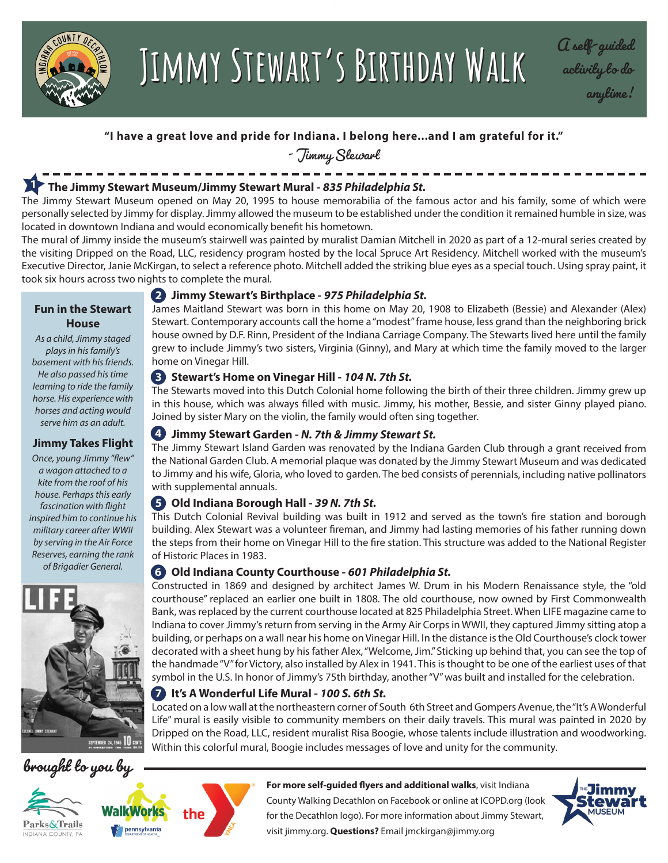

# **Jimmy Stewart's Birthday Walk A self-guided Jimmy Stewart's Birthday Walk**

**activity to do anytime!**

# **"I have a great love and pride for Indiana. I belong here...and I am grateful for it."**

- Jimmy Stewart

#### **The Jimmy Stewart Museum/Jimmy Stewart Mural -** *835 Philadelphia St.* **1**

The Jimmy Stewart Museum opened on May 20, 1995 to house memorabilia of the famous actor and his family, some of which were personally selected by Jimmy for display. Jimmy allowed the museum to be established under the condition it remained humble in size, was located in downtown Indiana and would economically benefit his hometown.

The mural of Jimmy inside the museum's stairwell was painted by muralist Damian Mitchell in 2020 as part of a 12-mural series created by the visiting Dripped on the Road, LLC, residency program hosted by the local Spruce Art Residency. Mitchell worked with the museum's Executive Director, Janie McKirgan, to select a reference photo. Mitchell added the striking blue eyes as a special touch. Using spray paint, it took six hours across two nights to complete the mural.

#### **Fun in the Stewart House**

*As a child, Jimmy staged plays in his family's basement with his friends. He also passed his time learning to ride the family horse. His experience with horses and acting would serve him as an adult.*

# **Jimmy Takes Flight**

*Once, young Jimmy "flew" a wagon attached to a kite from the roof of his house. Perhaps this early fascination with flight inspired him to continue his military career after WWII by serving in the Air Force Reserves, earning the rank of Brigadier General.*









### **2 Jimmy Stewart's Birthplace -** *975 Philadelphia St.*

James Maitland Stewart was born in this home on May 20, 1908 to Elizabeth (Bessie) and Alexander (Alex) Stewart. Contemporary accounts call the home a "modest" frame house, less grand than the neighboring brick house owned by D.F. Rinn, President of the Indiana Carriage Company. The Stewarts lived here until the family grew to include Jimmy's two sisters, Virginia (Ginny), and Mary at which time the family moved to the larger home on Vinegar Hill.

# **3 Stewart's Home on Vinegar Hill -** *104 N. 7th St.*

The Stewarts moved into this Dutch Colonial home following the birth of their three children. Jimmy grew up in this house, which was always filled with music. Jimmy, his mother, Bessie, and sister Ginny played piano. Joined by sister Mary on the violin, the family would often sing together.

# **Jimmy Stewart Garden -** *N. 7th & Jimmy Stewart St.*  **4**

The Jimmy Stewart Island Garden was renovated by the Indiana Garden Club through a grant received from the National Garden Club. A memorial plaque was donated by the Jimmy Stewart Museum and was dedicated to Jimmy and his wife, Gloria, who loved to garden. The bed consists of perennials, including native pollinators with supplemental annuals.

# **Old Indiana Borough Hall -** *39 N. 7th St.* **5**

This Dutch Colonial Revival building was built in 1912 and served as the town's fire station and borough building. Alex Stewart was a volunteer fireman, and Jimmy had lasting memories of his father running down the steps from their home on Vinegar Hill to the fire station. This structure was added to the National Register of Historic Places in 1983.

#### **Old Indiana County Courthouse -** *601 Philadelphia St.* **6**

Constructed in 1869 and designed by architect James W. Drum in his Modern Renaissance style, the "old courthouse" replaced an earlier one built in 1808. The old courthouse, now owned by First Commonwealth Bank, was replaced by the current courthouse located at 825 Philadelphia Street. When LIFE magazine came to Indiana to cover Jimmy's return from serving in the Army Air Corps in WWII, they captured Jimmy sitting atop a building, or perhaps on a wall near his home on Vinegar Hill. In the distance is the Old Courthouse's clock tower decorated with a sheet hung by his father Alex, "Welcome, Jim." Sticking up behind that, you can see the top of the handmade "V" for Victory, also installed by Alex in 1941. This is thought to be one of the earliest uses of that symbol in the U.S. In honor of Jimmy's 75th birthday, another "V" was built and installed for the celebration.

# **It's A Wonderful Life Mural -** *100 S. 6th St.* **7**

Located on a low wall at the northeastern corner of South 6th Street and Gompers Avenue, the "It's A Wonderful Life" mural is easily visible to community members on their daily travels. This mural was painted in 2020 by Dripped on the Road, LLC, resident muralist Risa Boogie, whose talents include illustration and woodworking. Within this colorful mural, Boogie includes messages of love and unity for the community.





visit jimmy.org. **Questions?** Email jmckirgan@jimmy.org